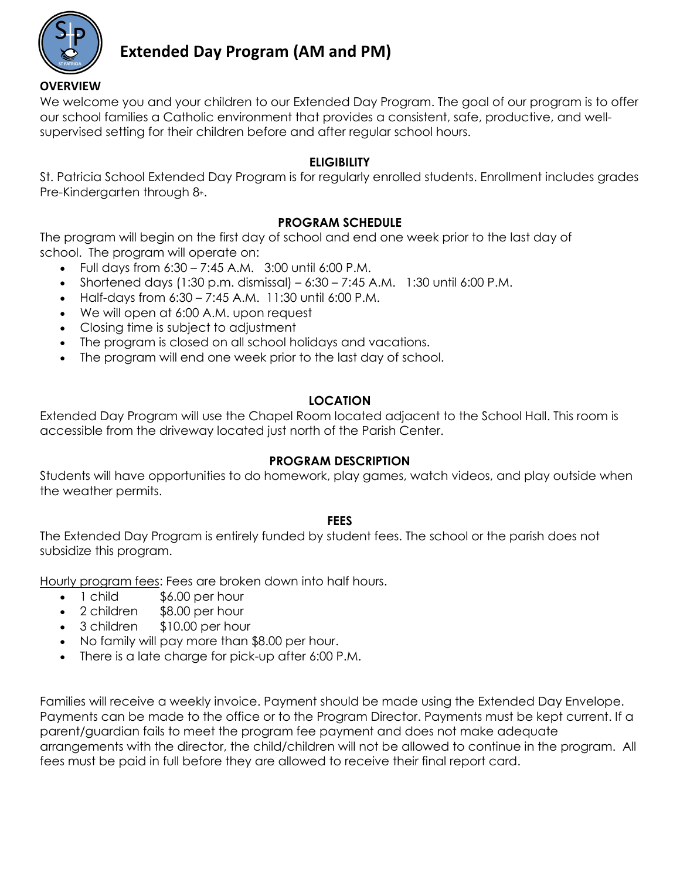

# **Extended Day Program (AM and PM)**

We welcome you and your children to our Extended Day Program. The goal of our program is to offer our school families a Catholic environment that provides a consistent, safe, productive, and wellsupervised setting for their children before and after regular school hours.

### **ELIGIBILITY**

St. Patricia School Extended Day Program is for regularly enrolled students. Enrollment includes grades Pre-Kindergarten through  $8<sub>th</sub>$ .

### **PROGRAM SCHEDULE**

The program will begin on the first day of school and end one week prior to the last day of school. The program will operate on:

- Full days from  $6:30 7:45$  A.M.  $3:00$  until  $6:00$  P.M.
- Shortened days (1:30 p.m. dismissal)  $6:30 7:45$  A.M. 1:30 until  $6:00$  P.M.
- Half-days from  $6:30 7:45$  A.M. 11:30 until  $6:00$  P.M.
- We will open at 6:00 A.M. upon request
- Closing time is subject to adjustment
- The program is closed on all school holidays and vacations.
- The program will end one week prior to the last day of school.

# **LOCATION**

Extended Day Program will use the Chapel Room located adjacent to the School Hall. This room is accessible from the driveway located just north of the Parish Center.

#### **PROGRAM DESCRIPTION**

Students will have opportunities to do homework, play games, watch videos, and play outside when the weather permits.

#### **FEES**

The Extended Day Program is entirely funded by student fees. The school or the parish does not subsidize this program.

Hourly program fees: Fees are broken down into half hours.

- 1 child \$6.00 per hour
- 2 children \$8.00 per hour
- 3 children \$10.00 per hour
- No family will pay more than \$8.00 per hour.
- There is a late charge for pick-up after 6:00 P.M.

Families will receive a weekly invoice. Payment should be made using the Extended Day Envelope. Payments can be made to the office or to the Program Director. Payments must be kept current. If a parent/guardian fails to meet the program fee payment and does not make adequate arrangements with the director, the child/children will not be allowed to continue in the program. All fees must be paid in full before they are allowed to receive their final report card.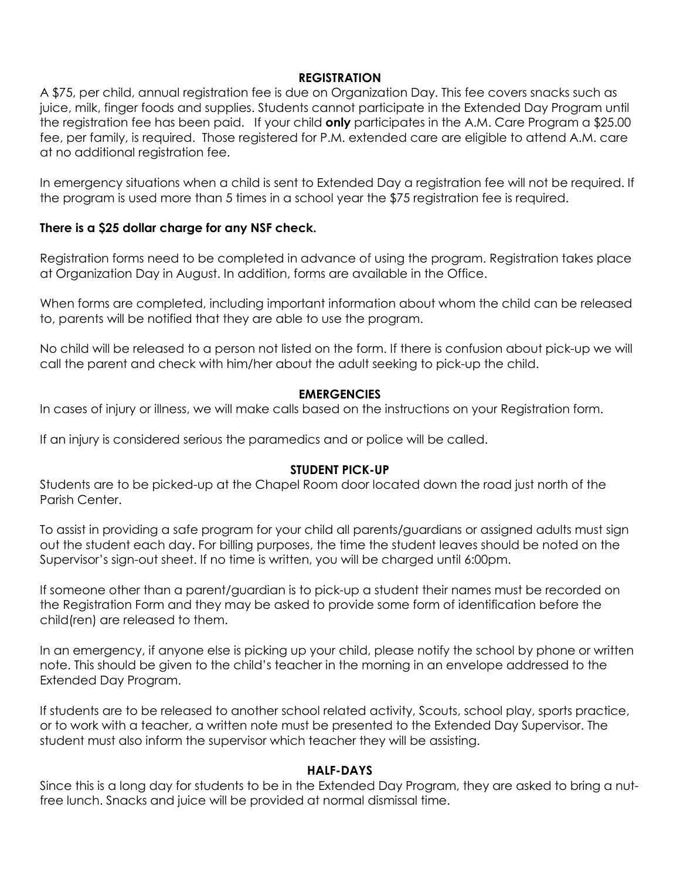#### **REGISTRATION**

A \$75, per child, annual registration fee is due on Organization Day. This fee covers snacks such as juice, milk, finger foods and supplies. Students cannot participate in the Extended Day Program until the registration fee has been paid. If your child **only** participates in the A.M. Care Program a \$25.00 fee, per family, is required. Those registered for P.M. extended care are eligible to attend A.M. care at no additional registration fee.

In emergency situations when a child is sent to Extended Day a registration fee will not be required. If the program is used more than 5 times in a school year the \$75 registration fee is required.

#### **There is a \$25 dollar charge for any NSF check.**

Registration forms need to be completed in advance of using the program. Registration takes place at Organization Day in August. In addition, forms are available in the Office.

When forms are completed, including important information about whom the child can be released to, parents will be notified that they are able to use the program.

No child will be released to a person not listed on the form. If there is confusion about pick-up we will call the parent and check with him/her about the adult seeking to pick-up the child.

#### **EMERGENCIES**

In cases of injury or illness, we will make calls based on the instructions on your Registration form.

If an injury is considered serious the paramedics and or police will be called.

#### **STUDENT PICK-UP**

Students are to be picked-up at the Chapel Room door located down the road just north of the Parish Center.

To assist in providing a safe program for your child all parents/guardians or assigned adults must sign out the student each day. For billing purposes, the time the student leaves should be noted on the Supervisor's sign-out sheet. If no time is written, you will be charged until 6:00pm.

If someone other than a parent/guardian is to pick-up a student their names must be recorded on the Registration Form and they may be asked to provide some form of identification before the child(ren) are released to them.

In an emergency, if anyone else is picking up your child, please notify the school by phone or written note. This should be given to the child's teacher in the morning in an envelope addressed to the Extended Day Program.

If students are to be released to another school related activity, Scouts, school play, sports practice, or to work with a teacher, a written note must be presented to the Extended Day Supervisor. The student must also inform the supervisor which teacher they will be assisting.

#### **HALF-DAYS**

Since this is a long day for students to be in the Extended Day Program, they are asked to bring a nutfree lunch. Snacks and juice will be provided at normal dismissal time.